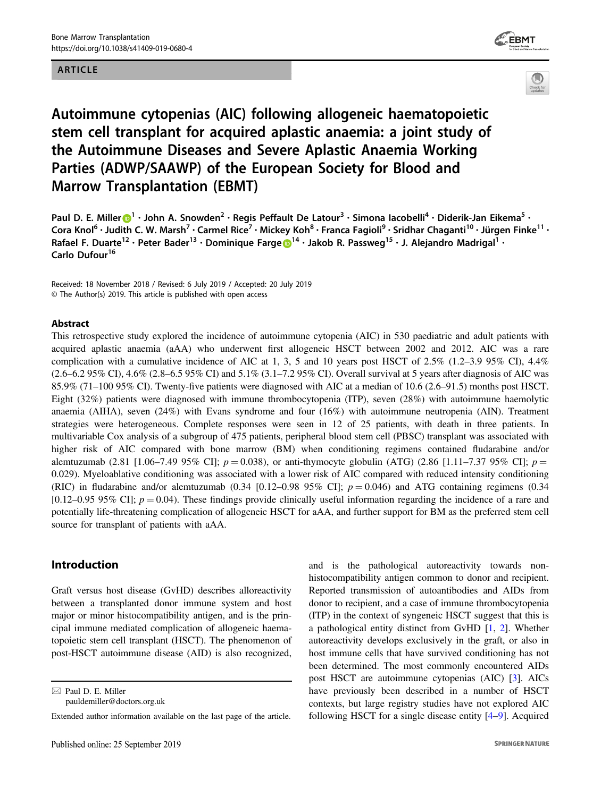#### ARTICLE





# Autoimmune cytopenias (AIC) following allogeneic haematopoietic stem cell transplant for acquired aplastic anaemia: a joint study of the Autoimmune Diseases and Severe Aplastic Anaemia Working Parties (ADWP/SAAWP) of the European Society for Blood and Marrow Transplantation (EBMT)

Paul D. E. Mille[r](http://orcid.org/0000-0002-4357-4392)  $\bigcirc^1 \cdot$  $\bigcirc^1 \cdot$  $\bigcirc^1 \cdot$  John A. Snowden<sup>2</sup> • Regis Peffault De Latour<sup>3</sup> • Simona Iacobelli<sup>4</sup> • Diderik-Jan Eikema<sup>5</sup> • Cora Knol<sup>6</sup> • Judith C. W. Marsh<sup>7</sup> • Carmel Rice<sup>7</sup> • Mickey Koh<sup>8</sup> • Franca Fagioli<sup>9</sup> • Sridhar Chaganti<sup>10</sup> • Jürgen Finke<sup>11</sup> • Rafa[e](http://orcid.org/0000-0002-4041-1352)l F. Duarte<sup>[1](http://orcid.org/0000-0002-4041-1352)2</sup> • Peter Bader<sup>13</sup> • Dominique Farge D<sup>14</sup> • Jakob R. Passweg<sup>15</sup> • J. Alejandro Madrigal<sup>1</sup> • Carlo Dufour<sup>16</sup>

Received: 18 November 2018 / Revised: 6 July 2019 / Accepted: 20 July 2019 © The Author(s) 2019. This article is published with open access

#### Abstract

This retrospective study explored the incidence of autoimmune cytopenia (AIC) in 530 paediatric and adult patients with acquired aplastic anaemia (aAA) who underwent first allogeneic HSCT between 2002 and 2012. AIC was a rare complication with a cumulative incidence of AIC at 1, 3, 5 and 10 years post HSCT of 2.5% (1.2–3.9 95% CI), 4.4% (2.6–6.2 95% CI), 4.6% (2.8–6.5 95% CI) and 5.1% (3.1–7.2 95% CI). Overall survival at 5 years after diagnosis of AIC was 85.9% (71–100 95% CI). Twenty-five patients were diagnosed with AIC at a median of 10.6 (2.6–91.5) months post HSCT. Eight (32%) patients were diagnosed with immune thrombocytopenia (ITP), seven (28%) with autoimmune haemolytic anaemia (AIHA), seven (24%) with Evans syndrome and four (16%) with autoimmune neutropenia (AIN). Treatment strategies were heterogeneous. Complete responses were seen in 12 of 25 patients, with death in three patients. In multivariable Cox analysis of a subgroup of 475 patients, peripheral blood stem cell (PBSC) transplant was associated with higher risk of AIC compared with bone marrow (BM) when conditioning regimens contained fludarabine and/or alemtuzumab (2.81 [1.06–7.49 95% CI];  $p = 0.038$ ), or anti-thymocyte globulin (ATG) (2.86 [1.11–7.37 95% CI];  $p =$ 0.029). Myeloablative conditioning was associated with a lower risk of AIC compared with reduced intensity conditioning (RIC) in fludarabine and/or alemtuzumab (0.34 [0.12–0.98 95% CI];  $p = 0.046$ ) and ATG containing regimens (0.34 [0.12–0.95 95% CI];  $p = 0.04$ ). These findings provide clinically useful information regarding the incidence of a rare and potentially life-threatening complication of allogeneic HSCT for aAA, and further support for BM as the preferred stem cell source for transplant of patients with aAA.

## Introduction

Graft versus host disease (GvHD) describes alloreactivity between a transplanted donor immune system and host major or minor histocompatibility antigen, and is the principal immune mediated complication of allogeneic haematopoietic stem cell transplant (HSCT). The phenomenon of post-HSCT autoimmune disease (AID) is also recognized,

 $\boxtimes$  Paul D. E. Miller [pauldemiller@doctors.org.uk](mailto:pauldemiller@doctors.org.uk) and is the pathological autoreactivity towards nonhistocompatibility antigen common to donor and recipient. Reported transmission of autoantibodies and AIDs from donor to recipient, and a case of immune thrombocytopenia (ITP) in the context of syngeneic HSCT suggest that this is a pathological entity distinct from GvHD [[1,](#page-7-0) [2](#page-7-0)]. Whether autoreactivity develops exclusively in the graft, or also in host immune cells that have survived conditioning has not been determined. The most commonly encountered AIDs post HSCT are autoimmune cytopenias (AIC) [[3\]](#page-7-0). AICs have previously been described in a number of HSCT contexts, but large registry studies have not explored AIC following HSCT for a single disease entity [[4](#page-7-0)–[9\]](#page-8-0). Acquired

Extended author information available on the last page of the article.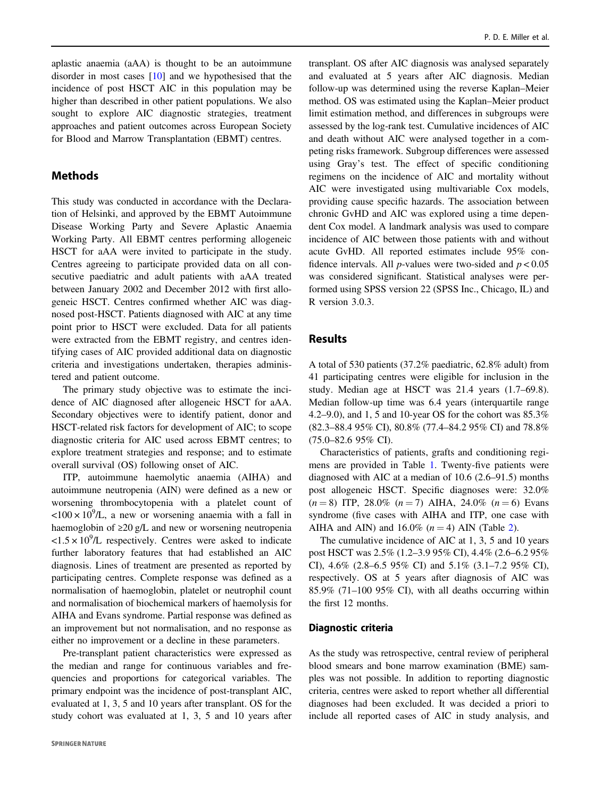aplastic anaemia (aAA) is thought to be an autoimmune disorder in most cases [[10\]](#page-8-0) and we hypothesised that the incidence of post HSCT AIC in this population may be higher than described in other patient populations. We also sought to explore AIC diagnostic strategies, treatment approaches and patient outcomes across European Society for Blood and Marrow Transplantation (EBMT) centres.

## Methods

This study was conducted in accordance with the Declaration of Helsinki, and approved by the EBMT Autoimmune Disease Working Party and Severe Aplastic Anaemia Working Party. All EBMT centres performing allogeneic HSCT for aAA were invited to participate in the study. Centres agreeing to participate provided data on all consecutive paediatric and adult patients with aAA treated between January 2002 and December 2012 with first allogeneic HSCT. Centres confirmed whether AIC was diagnosed post-HSCT. Patients diagnosed with AIC at any time point prior to HSCT were excluded. Data for all patients were extracted from the EBMT registry, and centres identifying cases of AIC provided additional data on diagnostic criteria and investigations undertaken, therapies administered and patient outcome.

The primary study objective was to estimate the incidence of AIC diagnosed after allogeneic HSCT for aAA. Secondary objectives were to identify patient, donor and HSCT-related risk factors for development of AIC; to scope diagnostic criteria for AIC used across EBMT centres; to explore treatment strategies and response; and to estimate overall survival (OS) following onset of AIC.

ITP, autoimmune haemolytic anaemia (AIHA) and autoimmune neutropenia (AIN) were defined as a new or worsening thrombocytopenia with a platelet count of  $\langle 100 \times 10^9 \rangle L$ , a new or worsening anaemia with a fall in haemoglobin of ≥20 g/L and new or worsening neutropenia  $\langle 1.5 \times 10^9 \rangle$ L respectively. Centres were asked to indicate further laboratory features that had established an AIC diagnosis. Lines of treatment are presented as reported by participating centres. Complete response was defined as a normalisation of haemoglobin, platelet or neutrophil count and normalisation of biochemical markers of haemolysis for AIHA and Evans syndrome. Partial response was defined as an improvement but not normalisation, and no response as either no improvement or a decline in these parameters.

Pre-transplant patient characteristics were expressed as the median and range for continuous variables and frequencies and proportions for categorical variables. The primary endpoint was the incidence of post-transplant AIC, evaluated at 1, 3, 5 and 10 years after transplant. OS for the study cohort was evaluated at 1, 3, 5 and 10 years after

transplant. OS after AIC diagnosis was analysed separately and evaluated at 5 years after AIC diagnosis. Median follow-up was determined using the reverse Kaplan–Meier method. OS was estimated using the Kaplan–Meier product limit estimation method, and differences in subgroups were assessed by the log-rank test. Cumulative incidences of AIC and death without AIC were analysed together in a competing risks framework. Subgroup differences were assessed using Gray's test. The effect of specific conditioning regimens on the incidence of AIC and mortality without AIC were investigated using multivariable Cox models, providing cause specific hazards. The association between chronic GvHD and AIC was explored using a time dependent Cox model. A landmark analysis was used to compare incidence of AIC between those patients with and without acute GvHD. All reported estimates include 95% confidence intervals. All *p*-values were two-sided and  $p < 0.05$ was considered significant. Statistical analyses were performed using SPSS version 22 (SPSS Inc., Chicago, IL) and R version 3.0.3.

## Results

A total of 530 patients (37.2% paediatric, 62.8% adult) from 41 participating centres were eligible for inclusion in the study. Median age at HSCT was 21.4 years (1.7–69.8). Median follow-up time was 6.4 years (interquartile range 4.2–9.0), and 1, 5 and 10-year OS for the cohort was 85.3% (82.3–88.4 95% CI), 80.8% (77.4–84.2 95% CI) and 78.8% (75.0–82.6 95% CI).

Characteristics of patients, grafts and conditioning regimens are provided in Table [1.](#page-2-0) Twenty-five patients were diagnosed with AIC at a median of 10.6 (2.6–91.5) months post allogeneic HSCT. Specific diagnoses were: 32.0%  $(n = 8)$  ITP, 28.0%  $(n = 7)$  AIHA, 24.0%  $(n = 6)$  Evans syndrome (five cases with AIHA and ITP, one case with AIHA and AIN) and  $16.0\%$  ( $n = 4$ ) AIN (Table [2\)](#page-3-0).

The cumulative incidence of AIC at 1, 3, 5 and 10 years post HSCT was 2.5% (1.2–3.9 95% CI), 4.4% (2.6–6.2 95% CI), 4.6% (2.8–6.5 95% CI) and 5.1% (3.1–7.2 95% CI), respectively. OS at 5 years after diagnosis of AIC was  $85.9\%$  (71–100 95% CI), with all deaths occurring within the first 12 months.

#### Diagnostic criteria

As the study was retrospective, central review of peripheral blood smears and bone marrow examination (BME) samples was not possible. In addition to reporting diagnostic criteria, centres were asked to report whether all differential diagnoses had been excluded. It was decided a priori to include all reported cases of AIC in study analysis, and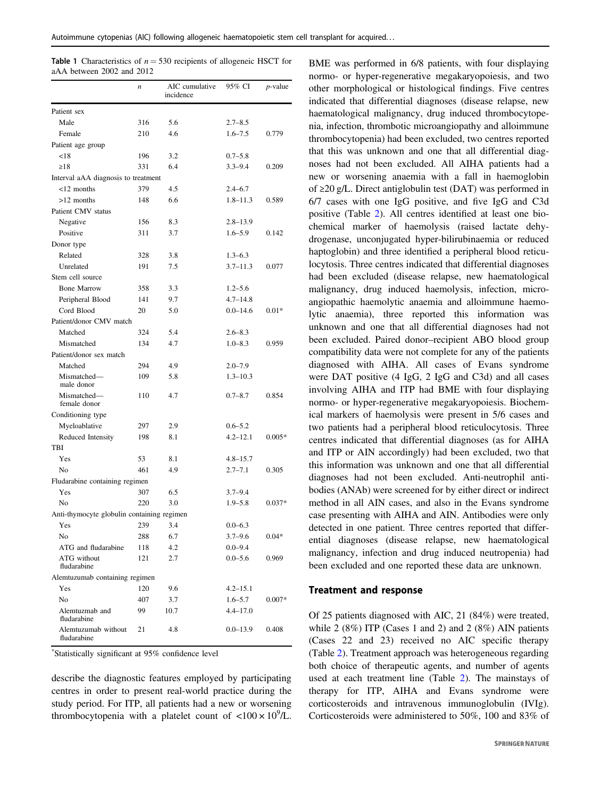<span id="page-2-0"></span>**Table 1** Characteristics of  $n = 530$  recipients of allogeneic HSCT for aAA between 2002 and 2012

|                                            | n   | AIC cumulative<br>incidence | 95% CI       | <i>p</i> -value |
|--------------------------------------------|-----|-----------------------------|--------------|-----------------|
| Patient sex                                |     |                             |              |                 |
| Male                                       | 316 | 5.6                         | $2.7 - 8.5$  |                 |
| Female                                     | 210 | 4.6                         | $1.6 - 7.5$  | 0.779           |
| Patient age group                          |     |                             |              |                 |
| < 18                                       | 196 | 3.2                         | $0.7 - 5.8$  |                 |
| $\geq$ 18                                  | 331 | 6.4                         | $3.3 - 9.4$  | 0.209           |
| Interval aAA diagnosis to treatment        |     |                             |              |                 |
| $<$ 12 months                              | 379 | 4.5                         | 2.4–6.7      |                 |
| $>12$ months                               | 148 | 6.6                         | $1.8 - 11.3$ | 0.589           |
| Patient CMV status                         |     |                             |              |                 |
| Negative                                   | 156 | 8.3                         | $2.8 - 13.9$ |                 |
| Positive                                   | 311 | 3.7                         | $1.6 - 5.9$  | 0.142           |
| Donor type                                 |     |                             |              |                 |
| Related                                    | 328 | 3.8                         | $1.3 - 6.3$  |                 |
| Unrelated                                  | 191 | 7.5                         | $3.7 - 11.3$ | 0.077           |
| Stem cell source                           |     |                             |              |                 |
| <b>Bone Marrow</b>                         | 358 | 3.3                         | $1.2 - 5.6$  |                 |
| Peripheral Blood                           | 141 | 9.7                         | $4.7 - 14.8$ |                 |
| Cord Blood                                 | 20  | 5.0                         | $0.0 - 14.6$ | $0.01*$         |
| Patient/donor CMV match                    |     |                             |              |                 |
| Matched                                    | 324 | 5.4                         | $2.6 - 8.3$  |                 |
| Mismatched                                 | 134 | 4.7                         | $1.0 - 8.3$  | 0.959           |
| Patient/donor sex match                    |     |                             |              |                 |
| Matched                                    | 294 | 4.9                         | $2.0 - 7.9$  |                 |
| Mismatched-<br>male donor                  | 109 | 5.8                         | $1.3 - 10.3$ |                 |
| Mismatched-<br>female donor                | 110 | 4.7                         | $0.7 - 8.7$  | 0.854           |
| Conditioning type                          |     |                             |              |                 |
| Myeloablative                              | 297 | 2.9                         | $0.6 - 5.2$  |                 |
| Reduced Intensity                          | 198 | 8.1                         | $4.2 - 12.1$ | $0.005*$        |
| TBI                                        |     |                             |              |                 |
| Yes                                        | 53  | 8.1                         | $4.8 - 15.7$ |                 |
| No                                         | 461 | 4.9                         | $2.7 - 7.1$  | 0.305           |
| Fludarabine containing regimen             |     |                             |              |                 |
| Yes                                        | 307 | 6.5                         | $3.7 - 9.4$  |                 |
| No                                         | 220 | 3.0                         | $1.9 - 5.8$  | $0.037*$        |
| Anti-thymocyte globulin containing regimen |     |                             |              |                 |
| Yes                                        | 239 | 3.4                         | $0.0 - 6.3$  |                 |
| No                                         | 288 | 6.7                         | $3.7 - 9.6$  | $0.04*$         |
| ATG and fludarabine                        | 118 | 4.2                         | $0.0 - 9.4$  |                 |
| ATG without<br>fludarabine                 | 121 | 2.7                         | $0.0 - 5.6$  | 0.969           |
| Alemtuzumab containing regimen             |     |                             |              |                 |
| Yes                                        | 120 | 9.6                         | $4.2 - 15.1$ |                 |
| No                                         | 407 | 3.7                         | $1.6 - 5.7$  | $0.007*$        |
| Alemtuzmab and<br>fludarabine              | 99  | 10.7                        | $4.4 - 17.0$ |                 |
| Alemtuzumab without<br>fludarabine         | 21  | 4.8                         | $0.0 - 13.9$ | 0.408           |

\* Statistically significant at 95% confidence level

describe the diagnostic features employed by participating centres in order to present real-world practice during the study period. For ITP, all patients had a new or worsening thrombocytopenia with a platelet count of  $\langle 100 \times 10^9 \rangle L$ .

BME was performed in 6/8 patients, with four displaying normo- or hyper-regenerative megakaryopoiesis, and two other morphological or histological findings. Five centres indicated that differential diagnoses (disease relapse, new haematological malignancy, drug induced thrombocytopenia, infection, thrombotic microangiopathy and alloimmune thrombocytopenia) had been excluded, two centres reported that this was unknown and one that all differential diagnoses had not been excluded. All AIHA patients had a new or worsening anaemia with a fall in haemoglobin of ≥20 g/L. Direct antiglobulin test (DAT) was performed in 6/7 cases with one IgG positive, and five IgG and C3d positive (Table [2](#page-3-0)). All centres identified at least one biochemical marker of haemolysis (raised lactate dehydrogenase, unconjugated hyper-bilirubinaemia or reduced haptoglobin) and three identified a peripheral blood reticulocytosis. Three centres indicated that differential diagnoses had been excluded (disease relapse, new haematological malignancy, drug induced haemolysis, infection, microangiopathic haemolytic anaemia and alloimmune haemolytic anaemia), three reported this information was unknown and one that all differential diagnoses had not been excluded. Paired donor–recipient ABO blood group compatibility data were not complete for any of the patients diagnosed with AIHA. All cases of Evans syndrome were DAT positive (4 IgG, 2 IgG and C3d) and all cases involving AIHA and ITP had BME with four displaying normo- or hyper-regenerative megakaryopoiesis. Biochemical markers of haemolysis were present in 5/6 cases and two patients had a peripheral blood reticulocytosis. Three centres indicated that differential diagnoses (as for AIHA and ITP or AIN accordingly) had been excluded, two that this information was unknown and one that all differential diagnoses had not been excluded. Anti-neutrophil antibodies (ANAb) were screened for by either direct or indirect method in all AIN cases, and also in the Evans syndrome case presenting with AIHA and AIN. Antibodies were only detected in one patient. Three centres reported that differential diagnoses (disease relapse, new haematological malignancy, infection and drug induced neutropenia) had been excluded and one reported these data are unknown.

#### Treatment and response

Of 25 patients diagnosed with AIC, 21 (84%) were treated, while  $2 (8\%)$  ITP (Cases 1 and 2) and  $2 (8\%)$  AIN patients (Cases 22 and 23) received no AIC specific therapy (Table [2](#page-3-0)). Treatment approach was heterogeneous regarding both choice of therapeutic agents, and number of agents used at each treatment line (Table [2\)](#page-3-0). The mainstays of therapy for ITP, AIHA and Evans syndrome were corticosteroids and intravenous immunoglobulin (IVIg). Corticosteroids were administered to 50%, 100 and 83% of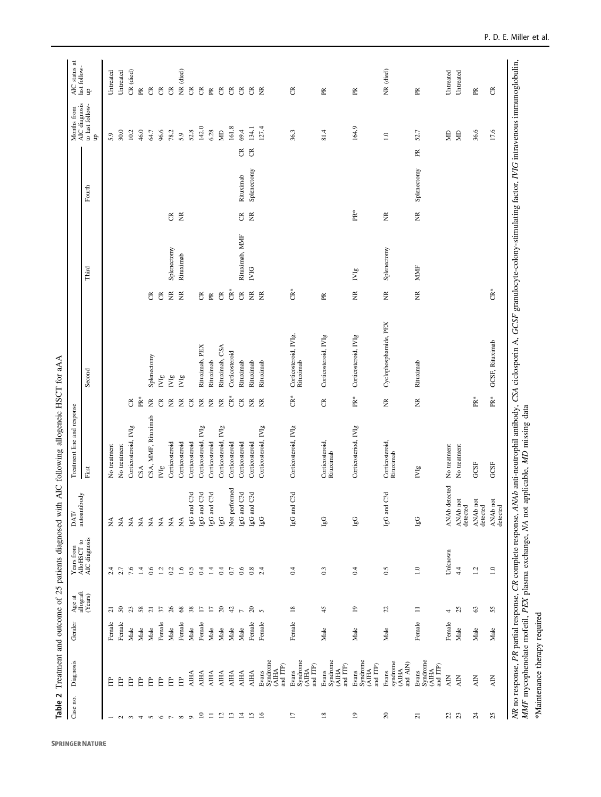Table 2 Treatment and outcome of 25 patients diagnosed with AIC following allogeneic HSCT for aAA Table 2 Treatment and outcome of 25 patients diagnosed with AIC following allogeneic HSCT for aAA

<span id="page-3-0"></span>AIC status at<br>last follow-<br>up NR no response, PR partial response, CR complete response, ANAb anti-neutrophil antibody, CSA ciclosporin A, GCSF granulocyte-colony-stimulating factor, IVIG intravenous immunoglobulin,<br>MMF mycophenolate mofetil, PEX plasm AIC status at NR no response, PR partial response, CR complete response, ANAb anti-neutrophil antibody, CSA ciclosporin A, GCSF granulocyte-colony-stimulating factor, IVIG intravenous immunoglobulin, last follow-NR (died) NR (died) Untreated CR (died) Untreated 3 P.6 23 D.12 CR D.12 CR CR 10.2 CR CR CR CR CR 10.2 CR CR CR CR 23 CO110.0913 CO110.2 CR 8 ITP Female 68 1.6 NA Corticosteroid NR IVIg NR Rituximab NR 5.9 NR (died) NR Cyclophosphamide, PEX NR Splenectomy NR 1.0 NR (died) Untreated Untreated 1 Deather Female 21 Pearleated Female 2.4 NA No treatment 5.9 Untreated Section 10 Untreated 2.7 Pemale 50 Eemale 50 Pemale 50 Pemale 50 Pemale 30 Pemale 30 Pemale 30 Pemale 30.0 No treatment 22 AIN Female 4 Unknown ANAb detected No treatment MD Untreated No treatment Monetary and MD United Application of the stated MD United Application of the stated MD United Application ៥ ៥  $ER$   $C$  $\tilde{c}$  $\mathbb{R}$  $\mathbb R$  $\widetilde{E}$  $\mathbb R$  $\tilde{c}$  $55$  ITP Male 21  $\mu$  Male 21  $\mu$  Male 21  $\mu$  Male 21  $\mu$  21  $\mu$  21  $\mu$  21  $\mu$  21  $\mu$  21  $\mu$  21  $\mu$  21  $\mu$  21  $\mu$  21  $\mu$  21  $\mu$  21  $\mu$  21  $\mu$  21  $\mu$  21  $\mu$  21  $\mu$  21  $\mu$  21  $\mu$  21  $\mu$  21  $\mu$  21  $\mu$  6 IS a semider of the semider  $\alpha$  is the semider of  $\alpha$  is the semider of  $\alpha$  of  $\alpha$  is the semider of  $\alpha$ 7 IS MALE 20 2018 NR ISLA Splenectosteroid NR IVIG NR Splenectosteroid NR NR V2 CO 20 2018 NR NR NR Splenectosteroid N ers and the second corticosteroid corticosteroid corresponding the second corresponding corresponding the second corresponding corresponding the second corresponding corresponding corresponding corresponding corresponding 10 ATHA Female 17 And Female 17 Discussions of Discussions Corticosteroid, IPIs NR Rituximab, PEX CR 142.0 CR  $12$  and  $12$  and  $12$  of  $12$   $194$   $194$   $195$   $196$   $196$   $197$   $196$   $199$   $199$   $199$   $199$   $199$   $199$   $199$   $199$   $199$   $199$   $199$   $199$   $199$   $199$   $199$   $199$   $199$   $199$   $199$   $199$   $199$   $199$   $199$   $199$   $199$ 13 AIHA MAle 42 0.7 Note performed Criticosteroid Criticosteroid Criticosteroid Criticosteroid Criticosteroid Criticosteroid Criticosteroid Criticosteroid Criticosteroid Criticosteroid Criticosteroid Criticosteroid Critico 14 AIHA Male 14 AIHA CR LINXIN GREU CR CR RITUXIMA CR CORTICOSTEROID DE DESIDERED DE DESIDERED DE DESIDERED DE<br>14 AIHA CR RITUXIM CR RINXIN CR RITUXIM CR CR RITUXIM CR DE DESIDERED DE DESIDERED DE DE DE DE DE DE DE DE DE 15 AIHA Female 20 0.8 IgG and C3d Corticosteroid NR Rituximab NR IVIG NR Splenectomy CR 134.1 CR Female 5 5 14 IgG Corticosteroid, IVIg NR Rituximab NR 2.4 127.4 NR 127.4 NR CR\* 36.3 CR GCSF PR<sup>\*</sup> GCSF, Rituximab CR<sup>\*</sup> CR<sup>\*</sup> exament Decay of the S8 2.4 NA PR\* 2.6 Decay of the Decay of the Decay of the Decay of the Decay of the Decay of the Decay of the Decay of the Decay of the Decay of the Decay of the Decay of the Decay of the Decay of the D 11 AIHA MALE 17 1.4 In the 17 1.4 In the 17 1.4 In the 17 1.4 In the 17 1.4 In the 17 1.4 In the 18 Male 17 1.4 In the 17 1.4 In the 18 Male 17 1.4 In the 17 1.4 In the 18 Male 17 1.4 In the 18 Male 17 1.4 In the 18 Male 1 CR Corticosteroid, IVIg PR PR Male 19 19 19 Next Dixty and Dixty Dixty Dixty Dixty Dixty Dixty Dixty Dixty Dixty PR\* 164.9 PR\* 164.9 PR\* 164 Female 11 10 In S2.7 PR 52.7 PR S2.7 PR NR Rituximab NR Rituximab NR Rituximab NR Rituximab NR Rituximab NR Rituximab NR Rituximab NR Rituximab NR Rituximab NR Rituximab NR Rituximab NR Rituximab NR Rituximab NR Rituximab GCSF PR\* 36.6 PR Months from<br>AIC diagnosis<br>to last follow-<br>up AIC diagnosis to last follow-Treatment line and response Months from  $142.0$ 134.1 6.28 161.8  $127.4$ 164.9  $30.0$ <br> $10.2$ <br> $46.0$ 64.7 96.6 78.2 52.8  $\triangleq$  $69.4$ 36.3 81.4 **皇皇** 36.6 17.6 5.9 52.7 5.9  $\overline{1.0}$  $\tilde{c}$  $\tilde{c}$ PR Splenectomy Splenectomy Rituximab Fourth First Second Third Fourth  $\rm \stackrel{*}{\simeq}$  $\widetilde{\Xi}$ មី ឪ  $\tilde{c}$  $\widetilde{\Xi}$  $\widetilde{\Xi}$ Rituximab, MMF Splenectomy Splenectomy Rituximab **MMF** Third IVIG Ng  $\rm \check{E}$ ៥<br>ចំ  $\rm \check{E}$ **ggggg**  $E$   $E$ **BEE**  $\mathbb{R}$  $\widetilde{\Xi}$  $\widetilde{\Xi}$  $\widetilde{\Xi}$ Cyclophosphamide, PEX Corticosteroid, IVIg,<br>Rituximab Female 18 18 18 14 IgG and C3d Corticosteroid, IVIg Corticosteroid, IVIg, Corticosteroid, IVIg Corticosteroid, IVIg GCSF, Rituximab Rituximab, PEX Rituximab, CSA Corticosteroid Splenectomy Rituximab Rituximab Rituximab Rituximab Rituximab Rituximab Second Nig  $N_{\rm g}$ Ng  $\mathbb{R}^*$  $\check{\tilde{g}}$  $\mathbf{PR}^*$  $R^*$  $\widetilde{\mathcal{Z}}$  $\widetilde{\mathcal{F}}$ **E B E E**  $\widetilde{\Xi}$ **BEE**  $\tilde{e}$  $\widetilde{\mathcal{F}}$  $\widetilde{\mathcal{Z}}$  $R^*$  $\approx$  $\tilde{c}$ Ř Treatment line and response MMF mycophenolate mofetil, PEX plasma exchange, NA not applicable, MD missing data CSA, MMF, Rituximab Corticosteroid, IVIg Corticosteroid, IVIg Corticosteroid, IVIg Corticosteroid, IVIg Corticosteriod, IVIg Corticosteroid, IVIg Corticosteroid,<br>Rituximab Corticosteroid,<br>Rituximab Corticosteroid Corticosteroid Corticosteroid Corticosteroid Corticosteroid Corticosteroid Corticosteroid Male 45 1gG IgG Corticosteroid, Male 22 0.5 IgG and C3d Corticosteroid, No treatment No treatment No treatment No treatment Rituximab Rituximab  $_{\rm GCSF}$  $GCSF$ IVIg **IVIg** First CSA ANAb detected Not performed  $\mathrm{DAT}{}'$ autoantibody IgG and C3d gG and C3d gG and C3d IgG and C3d IgG and C3d IgG and C3d IgG and C3d autoantibody ANAb not<br>detected ANAb not<br>detected ANAb not<br>detected 23  $\overline{A}$  AIN  $\overline{A}$  4.4  $\overline{A}$  4.4  $\overline{A}$ 24 AIN Male 63 1.2 ANAb not 25 AIN Male 55 1.0 ANAb not [gC **D**g **D**gI  $_{\rm{lgG}}$ Ωg  $\tilde{\mathbf{z}}$  $\tilde{\Sigma}$  $\tilde{\Sigma}$  $\tilde{z}$  $\tilde{z}$  $\frac{3}{2}$  $\tilde{z}$ Years from<br>AlloHSCT to<br>AIC diagnosis AIC diagnosis AlloHSCT to Years from Unknown  $\overline{0}$  $\overline{0}$  $0.6$ <br> $0.8$ <br> $2.4$  $0.4$  $0.\overline{3}$  $0.4\,$  $0.5$  $\ddot{4}$  $\overline{12}$ allograft (Years) Case no. Diagnosis Gender Age at និ<br>និននិ<br>  $26$  $68\,$ 38  $\overline{\Box}$  $\overline{a}$  $\begin{matrix} 2 & 4 \\ 2 & 4 \end{matrix}$  $20\,$  $\overline{18}$  $45$  $\overline{9}$  $\Omega$  $\equiv$  $25$  $\mathbb{G}$ 55  $\overline{21}$  $\overline{r}$  $\sim$  $\overline{+}$ Gender Female Female Female Female Female Female Female Female Female Female Male Male Male Male Male Male Male Male Male Male Male Male Male Male Male Diagnosis Syndrome Syndrome Syndrome Syndrome syndrome and AIN) Syndrome and ITP) and ITP) (AIHA and ITP) and ITP) and ITP) (AIHA (AIHA (AIHA Evans **AIHA** Evans (AIHA Evans (AIHA **AIHA AIHA AIHA AIHA AIHA AIHA** Evans Evans 16 Evans 17 Evans 18 Evans 19 Evans 20 Evans 21 Evans **AIK** Ę Ę **AIN**  $\mathbb{H}$ È È  $E$  $E$  $E$  $E$ Ê Case no.  $212271252$  $\overline{1}$  $\overline{18}$  $\overline{19}$  $\infty$  $22$  $\boldsymbol{z}$  $25\,$  $\overline{21}$  $\tilde{5}$  $\overline{4}$  $\mathbf{v}$  $\circ$  $\bar{\mathcal{D}}$  $\infty$  $\circ$ 

\*Maintenance therapy required

\*Maintenance therapy required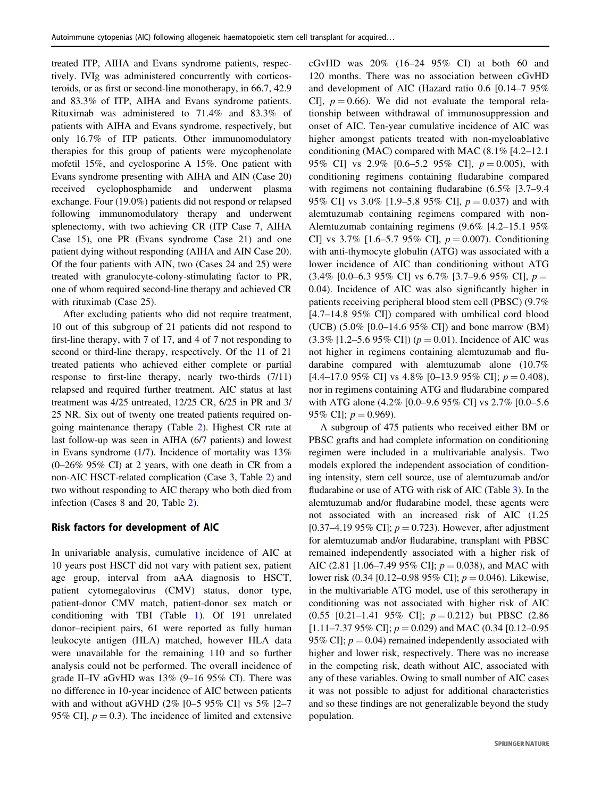treated ITP, AIHA and Evans syndrome patients, respectively. IVIg was administered concurrently with corticosteroids, or as first or second-line monotherapy, in 66.7, 42.9 and 83.3% of ITP, AIHA and Evans syndrome patients. Rituximab was administered to 71.4% and 83.3% of patients with AIHA and Evans syndrome, respectively, but only 16.7% of ITP patients. Other immunomodulatory therapies for this group of patients were mycophenolate mofetil 15%, and cyclosporine A 15%. One patient with Evans syndrome presenting with AIHA and AIN (Case 20) received cyclophosphamide and underwent plasma exchange. Four (19.0%) patients did not respond or relapsed following immunomodulatory therapy and underwent splenectomy, with two achieving CR (ITP Case 7, AIHA Case 15), one PR (Evans syndrome Case 21) and one patient dying without responding (AIHA and AIN Case 20). Of the four patients with AIN, two (Cases 24 and 25) were treated with granulocyte-colony-stimulating factor to PR, one of whom required second-line therapy and achieved CR with rituximab (Case 25).

After excluding patients who did not require treatment, 10 out of this subgroup of 21 patients did not respond to first-line therapy, with 7 of 17, and 4 of 7 not responding to second or third-line therapy, respectively. Of the 11 of 21 treated patients who achieved either complete or partial response to first-line therapy, nearly two-thirds (7/11) relapsed and required further treatment. AIC status at last treatment was 4/25 untreated, 12/25 CR, 6/25 in PR and 3/ 25 NR. Six out of twenty one treated patients required ongoing maintenance therapy (Table [2\)](#page-3-0). Highest CR rate at last follow-up was seen in AIHA (6/7 patients) and lowest in Evans syndrome (1/7). Incidence of mortality was 13% (0–26% 95% CI) at 2 years, with one death in CR from a non-AIC HSCT-related complication (Case 3, Table [2\)](#page-3-0) and two without responding to AIC therapy who both died from infection (Cases 8 and 20, Table [2\)](#page-3-0).

#### Risk factors for development of AIC

In univariable analysis, cumulative incidence of AIC at 10 years post HSCT did not vary with patient sex, patient age group, interval from aAA diagnosis to HSCT, patient cytomegalovirus (CMV) status, donor type, patient-donor CMV match, patient-donor sex match or conditioning with TBI (Table [1\)](#page-2-0). Of 191 unrelated donor–recipient pairs, 61 were reported as fully human leukocyte antigen (HLA) matched, however HLA data were unavailable for the remaining 110 and so further analysis could not be performed. The overall incidence of grade II–IV aGvHD was 13% (9–16 95% CI). There was no difference in 10-year incidence of AIC between patients with and without aGVHD  $(2\%$  [0–5 95% CI] vs 5% [2–7 95% CI],  $p = 0.3$ ). The incidence of limited and extensive

cGvHD was 20% (16–24 95% CI) at both 60 and 120 months. There was no association between cGvHD and development of AIC (Hazard ratio 0.6 [0.14–7 95% CI,  $p = 0.66$ . We did not evaluate the temporal relationship between withdrawal of immunosuppression and onset of AIC. Ten-year cumulative incidence of AIC was higher amongst patients treated with non-myeloablative conditioning (MAC) compared with MAC (8.1% [4.2–12.1 95% CI] vs 2.9% [0.6–5.2 95% CI],  $p = 0.005$ ), with conditioning regimens containing fludarabine compared with regimens not containing fludarabine  $(6.5\%$  [3.7–9.4] 95% CI] vs 3.0% [1.9–5.8 95% CI],  $p = 0.037$  and with alemtuzumab containing regimens compared with non-Alemtuzumab containing regimens (9.6% [4.2–15.1 95% CI] vs  $3.7\%$  [1.6–5.7 95% CI],  $p = 0.007$ ). Conditioning with anti-thymocyte globulin (ATG) was associated with a lower incidence of AIC than conditioning without ATG  $(3.4\%$  [0.0–6.3 95% CI] vs 6.7% [3.7–9.6 95% CI],  $p =$ 0.04). Incidence of AIC was also significantly higher in patients receiving peripheral blood stem cell (PBSC) (9.7% [4.7–14.8 95% CI]) compared with umbilical cord blood (UCB) (5.0% [0.0–14.6 95% CI]) and bone marrow (BM)  $(3.3\%$  [1.2–5.6 95% CI]) ( $p = 0.01$ ). Incidence of AIC was not higher in regimens containing alemtuzumab and fludarabine compared with alemtuzumab alone (10.7%  $[4.4–17.0 95\% \text{ CI}]$  vs  $4.8\%$   $[0–13.9 95\% \text{ CI}]$ ;  $p = 0.408$ ), nor in regimens containing ATG and fludarabine compared with ATG alone (4.2% [0.0–9.6 95% CI] vs 2.7% [0.0–5.6 95% CII;  $p = 0.969$ ).

A subgroup of 475 patients who received either BM or PBSC grafts and had complete information on conditioning regimen were included in a multivariable analysis. Two models explored the independent association of conditioning intensity, stem cell source, use of alemtuzumab and/or fludarabine or use of ATG with risk of AIC (Table [3](#page-5-0)). In the alemtuzumab and/or fludarabine model, these agents were not associated with an increased risk of AIC (1.25 [0.37–4.19 95% CI];  $p = 0.723$ ). However, after adjustment for alemtuzumab and/or fludarabine, transplant with PBSC remained independently associated with a higher risk of AIC (2.81 [1.06–7.49 95% CI];  $p = 0.038$ ), and MAC with lower risk (0.34 [0.12–0.98 95% CI];  $p = 0.046$ ). Likewise, in the multivariable ATG model, use of this serotherapy in conditioning was not associated with higher risk of AIC  $(0.55 \,[0.21-1.41 \, 95\% \, \text{CI}]$ ;  $p = 0.212$ ) but PBSC  $(2.86$  $[1.11–7.3795\% \text{ CI}]$ ;  $p = 0.029$ ) and MAC (0.34  $[0.12–0.95$ ) 95% CI];  $p = 0.04$ ) remained independently associated with higher and lower risk, respectively. There was no increase in the competing risk, death without AIC, associated with any of these variables. Owing to small number of AIC cases it was not possible to adjust for additional characteristics and so these findings are not generalizable beyond the study population.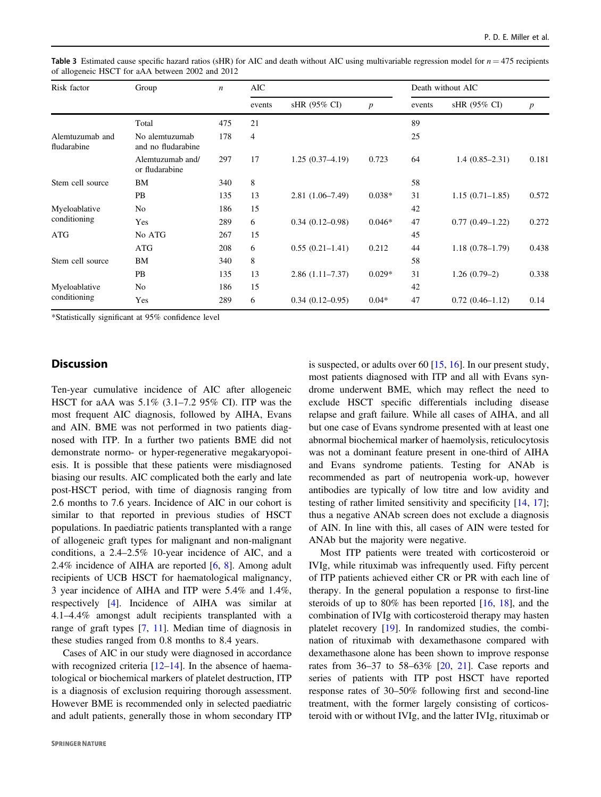| Risk factor                    | Group                                | $\boldsymbol{n}$ | AIC            |                     |                  | Death without AIC |                     |                  |
|--------------------------------|--------------------------------------|------------------|----------------|---------------------|------------------|-------------------|---------------------|------------------|
|                                |                                      |                  | events         | sHR (95% CI)        | $\boldsymbol{p}$ | events            | sHR (95% CI)        | $\boldsymbol{p}$ |
|                                | Total                                | 475              | 21             |                     |                  | 89                |                     |                  |
| Alemtuzumab and<br>fludarabine | No alemtuzumab<br>and no fludarabine | 178              | $\overline{4}$ |                     |                  | 25                |                     |                  |
|                                | Alemtuzumab and/<br>or fludarabine   | 297              | 17             | $1.25(0.37-4.19)$   | 0.723            | 64                | $1.4(0.85-2.31)$    | 0.181            |
| Stem cell source               | BM                                   | 340              | 8              |                     |                  | 58                |                     |                  |
|                                | <b>PB</b>                            | 135              | 13             | $2.81(1.06-7.49)$   | $0.038*$         | 31                | $1.15(0.71 - 1.85)$ | 0.572            |
| Myeloablative<br>conditioning  | No                                   | 186              | 15             |                     |                  | 42                |                     |                  |
|                                | Yes                                  | 289              | 6              | $0.34(0.12 - 0.98)$ | $0.046*$         | 47                | $0.77(0.49-1.22)$   | 0.272            |
| ATG                            | No ATG                               | 267              | 15             |                     |                  | 45                |                     |                  |
|                                | <b>ATG</b>                           | 208              | 6              | $0.55(0.21-1.41)$   | 0.212            | 44                | $1.18(0.78-1.79)$   | 0.438            |
| Stem cell source               | BM                                   | 340              | 8              |                     |                  | 58                |                     |                  |
|                                | PB                                   | 135              | 13             | $2.86(1.11 - 7.37)$ | $0.029*$         | 31                | $1.26(0.79-2)$      | 0.338            |
| Myeloablative<br>conditioning  | N <sub>0</sub>                       | 186              | 15             |                     |                  | 42                |                     |                  |
|                                | Yes                                  | 289              | 6              | $0.34(0.12 - 0.95)$ | $0.04*$          | 47                | $0.72(0.46 - 1.12)$ | 0.14             |

<span id="page-5-0"></span>Table 3 Estimated cause specific hazard ratios (sHR) for AIC and death without AIC using multivariable regression model for  $n = 475$  recipients of allogeneic HSCT for aAA between 2002 and 2012

\*Statistically significant at 95% confidence level

## **Discussion**

Ten-year cumulative incidence of AIC after allogeneic HSCT for aAA was 5.1% (3.1–7.2 95% CI). ITP was the most frequent AIC diagnosis, followed by AIHA, Evans and AIN. BME was not performed in two patients diagnosed with ITP. In a further two patients BME did not demonstrate normo- or hyper-regenerative megakaryopoiesis. It is possible that these patients were misdiagnosed biasing our results. AIC complicated both the early and late post-HSCT period, with time of diagnosis ranging from 2.6 months to 7.6 years. Incidence of AIC in our cohort is similar to that reported in previous studies of HSCT populations. In paediatric patients transplanted with a range of allogeneic graft types for malignant and non-malignant conditions, a 2.4–2.5% 10-year incidence of AIC, and a 2.4% incidence of AIHA are reported [\[6](#page-7-0), [8\]](#page-7-0). Among adult recipients of UCB HSCT for haematological malignancy, 3 year incidence of AIHA and ITP were 5.4% and 1.4%, respectively [[4\]](#page-7-0). Incidence of AIHA was similar at 4.1–4.4% amongst adult recipients transplanted with a range of graft types [\[7](#page-7-0), [11\]](#page-8-0). Median time of diagnosis in these studies ranged from 0.8 months to 8.4 years.

Cases of AIC in our study were diagnosed in accordance with recognized criteria  $[12-14]$  $[12-14]$  $[12-14]$  $[12-14]$ . In the absence of haematological or biochemical markers of platelet destruction, ITP is a diagnosis of exclusion requiring thorough assessment. However BME is recommended only in selected paediatric and adult patients, generally those in whom secondary ITP is suspected, or adults over 60 [\[15](#page-8-0), [16](#page-8-0)]. In our present study, most patients diagnosed with ITP and all with Evans syndrome underwent BME, which may reflect the need to exclude HSCT specific differentials including disease relapse and graft failure. While all cases of AIHA, and all but one case of Evans syndrome presented with at least one abnormal biochemical marker of haemolysis, reticulocytosis was not a dominant feature present in one-third of AIHA and Evans syndrome patients. Testing for ANAb is recommended as part of neutropenia work-up, however antibodies are typically of low titre and low avidity and testing of rather limited sensitivity and specificity [[14,](#page-8-0) [17](#page-8-0)]; thus a negative ANAb screen does not exclude a diagnosis of AIN. In line with this, all cases of AIN were tested for ANAb but the majority were negative.

Most ITP patients were treated with corticosteroid or IVIg, while rituximab was infrequently used. Fifty percent of ITP patients achieved either CR or PR with each line of therapy. In the general population a response to first-line steroids of up to 80% has been reported [[16,](#page-8-0) [18\]](#page-8-0), and the combination of IVIg with corticosteroid therapy may hasten platelet recovery [[19\]](#page-8-0). In randomized studies, the combination of rituximab with dexamethasone compared with dexamethasone alone has been shown to improve response rates from 36–37 to 58–63% [\[20](#page-8-0), [21\]](#page-8-0). Case reports and series of patients with ITP post HSCT have reported response rates of 30–50% following first and second-line treatment, with the former largely consisting of corticosteroid with or without IVIg, and the latter IVIg, rituximab or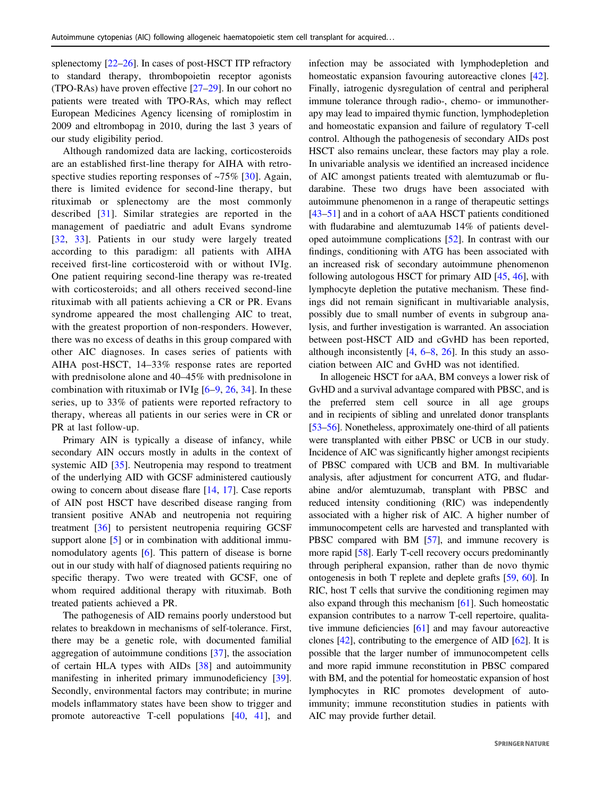splenectomy [[22](#page-8-0)–[26\]](#page-8-0). In cases of post-HSCT ITP refractory to standard therapy, thrombopoietin receptor agonists (TPO-RAs) have proven effective [\[27](#page-8-0)–[29](#page-8-0)]. In our cohort no patients were treated with TPO-RAs, which may reflect European Medicines Agency licensing of romiplostim in 2009 and eltrombopag in 2010, during the last 3 years of our study eligibility period.

Although randomized data are lacking, corticosteroids are an established first-line therapy for AIHA with retro-spective studies reporting responses of ~75% [[30\]](#page-8-0). Again, there is limited evidence for second-line therapy, but rituximab or splenectomy are the most commonly described [[31](#page-8-0)]. Similar strategies are reported in the management of paediatric and adult Evans syndrome [\[32,](#page-8-0) [33](#page-8-0)]. Patients in our study were largely treated according to this paradigm: all patients with AIHA received first-line corticosteroid with or without IVIg. One patient requiring second-line therapy was re-treated with corticosteroids; and all others received second-line rituximab with all patients achieving a CR or PR. Evans syndrome appeared the most challenging AIC to treat, with the greatest proportion of non-responders. However, there was no excess of deaths in this group compared with other AIC diagnoses. In cases series of patients with AIHA post-HSCT, 14–33% response rates are reported with prednisolone alone and 40–45% with prednisolone in combination with rituximab or IVIg  $[6-9, 26, 34]$  $[6-9, 26, 34]$  $[6-9, 26, 34]$  $[6-9, 26, 34]$  $[6-9, 26, 34]$  $[6-9, 26, 34]$  $[6-9, 26, 34]$  $[6-9, 26, 34]$ . In these series, up to 33% of patients were reported refractory to therapy, whereas all patients in our series were in CR or PR at last follow-up.

Primary AIN is typically a disease of infancy, while secondary AIN occurs mostly in adults in the context of systemic AID [\[35](#page-9-0)]. Neutropenia may respond to treatment of the underlying AID with GCSF administered cautiously owing to concern about disease flare [[14,](#page-8-0) [17\]](#page-8-0). Case reports of AIN post HSCT have described disease ranging from transient positive ANAb and neutropenia not requiring treatment [[36\]](#page-9-0) to persistent neutropenia requiring GCSF support alone [\[5](#page-7-0)] or in combination with additional immunomodulatory agents [\[6](#page-7-0)]. This pattern of disease is borne out in our study with half of diagnosed patients requiring no specific therapy. Two were treated with GCSF, one of whom required additional therapy with rituximab. Both treated patients achieved a PR.

The pathogenesis of AID remains poorly understood but relates to breakdown in mechanisms of self-tolerance. First, there may be a genetic role, with documented familial aggregation of autoimmune conditions [[37\]](#page-9-0), the association of certain HLA types with AIDs [[38\]](#page-9-0) and autoimmunity manifesting in inherited primary immunodeficiency [\[39](#page-9-0)]. Secondly, environmental factors may contribute; in murine models inflammatory states have been show to trigger and promote autoreactive T-cell populations [[40,](#page-9-0) [41](#page-9-0)], and infection may be associated with lymphodepletion and homeostatic expansion favouring autoreactive clones [[42\]](#page-9-0). Finally, iatrogenic dysregulation of central and peripheral immune tolerance through radio-, chemo- or immunotherapy may lead to impaired thymic function, lymphodepletion and homeostatic expansion and failure of regulatory T-cell control. Although the pathogenesis of secondary AIDs post HSCT also remains unclear, these factors may play a role. In univariable analysis we identified an increased incidence of AIC amongst patients treated with alemtuzumab or fludarabine. These two drugs have been associated with autoimmune phenomenon in a range of therapeutic settings [\[43](#page-9-0)–[51](#page-9-0)] and in a cohort of aAA HSCT patients conditioned with fludarabine and alemtuzumab 14% of patients developed autoimmune complications [\[52](#page-9-0)]. In contrast with our findings, conditioning with ATG has been associated with an increased risk of secondary autoimmune phenomenon following autologous HSCT for primary AID [\[45](#page-9-0), [46](#page-9-0)], with lymphocyte depletion the putative mechanism. These findings did not remain significant in multivariable analysis, possibly due to small number of events in subgroup analysis, and further investigation is warranted. An association between post-HSCT AID and cGvHD has been reported, although inconsistently  $[4, 6-8, 26]$  $[4, 6-8, 26]$  $[4, 6-8, 26]$  $[4, 6-8, 26]$  $[4, 6-8, 26]$  $[4, 6-8, 26]$  $[4, 6-8, 26]$  $[4, 6-8, 26]$ . In this study an association between AIC and GvHD was not identified.

In allogeneic HSCT for aAA, BM conveys a lower risk of GvHD and a survival advantage compared with PBSC, and is the preferred stem cell source in all age groups and in recipients of sibling and unrelated donor transplants [\[53](#page-9-0)–[56\]](#page-9-0). Nonetheless, approximately one-third of all patients were transplanted with either PBSC or UCB in our study. Incidence of AIC was significantly higher amongst recipients of PBSC compared with UCB and BM. In multivariable analysis, after adjustment for concurrent ATG, and fludarabine and/or alemtuzumab, transplant with PBSC and reduced intensity conditioning (RIC) was independently associated with a higher risk of AIC. A higher number of immunocompetent cells are harvested and transplanted with PBSC compared with BM [\[57](#page-9-0)], and immune recovery is more rapid [[58\]](#page-9-0). Early T-cell recovery occurs predominantly through peripheral expansion, rather than de novo thymic ontogenesis in both T replete and deplete grafts [\[59,](#page-9-0) [60](#page-9-0)]. In RIC, host T cells that survive the conditioning regimen may also expand through this mechanism [[61](#page-9-0)]. Such homeostatic expansion contributes to a narrow T-cell repertoire, qualitative immune deficiencies [[61](#page-9-0)] and may favour autoreactive clones [\[42\]](#page-9-0), contributing to the emergence of AID [[62](#page-9-0)]. It is possible that the larger number of immunocompetent cells and more rapid immune reconstitution in PBSC compared with BM, and the potential for homeostatic expansion of host lymphocytes in RIC promotes development of autoimmunity; immune reconstitution studies in patients with AIC may provide further detail.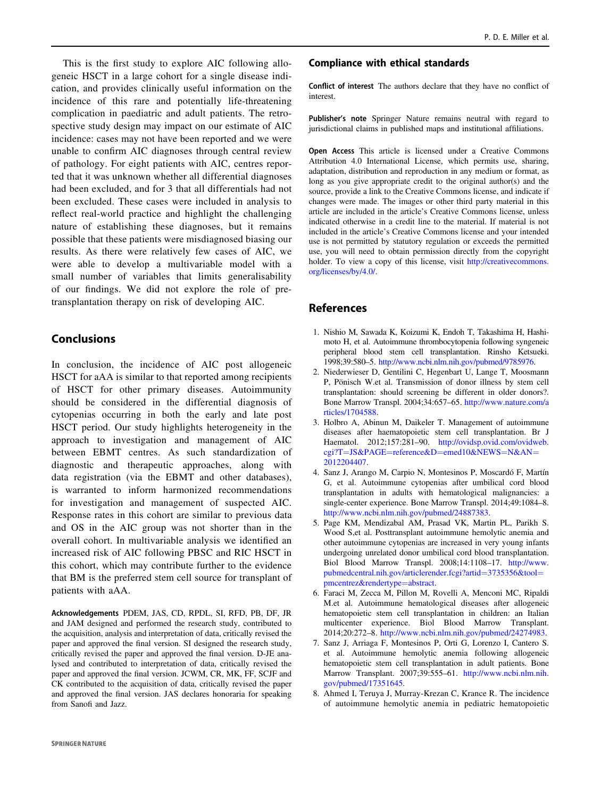<span id="page-7-0"></span>This is the first study to explore AIC following allogeneic HSCT in a large cohort for a single disease indication, and provides clinically useful information on the incidence of this rare and potentially life-threatening complication in paediatric and adult patients. The retrospective study design may impact on our estimate of AIC incidence: cases may not have been reported and we were unable to confirm AIC diagnoses through central review of pathology. For eight patients with AIC, centres reported that it was unknown whether all differential diagnoses had been excluded, and for 3 that all differentials had not been excluded. These cases were included in analysis to reflect real-world practice and highlight the challenging nature of establishing these diagnoses, but it remains possible that these patients were misdiagnosed biasing our results. As there were relatively few cases of AIC, we were able to develop a multivariable model with a small number of variables that limits generalisability of our findings. We did not explore the role of pretransplantation therapy on risk of developing AIC.

## Conclusions

In conclusion, the incidence of AIC post allogeneic HSCT for aAA is similar to that reported among recipients of HSCT for other primary diseases. Autoimmunity should be considered in the differential diagnosis of cytopenias occurring in both the early and late post HSCT period. Our study highlights heterogeneity in the approach to investigation and management of AIC between EBMT centres. As such standardization of diagnostic and therapeutic approaches, along with data registration (via the EBMT and other databases), is warranted to inform harmonized recommendations for investigation and management of suspected AIC. Response rates in this cohort are similar to previous data and OS in the AIC group was not shorter than in the overall cohort. In multivariable analysis we identified an increased risk of AIC following PBSC and RIC HSCT in this cohort, which may contribute further to the evidence that BM is the preferred stem cell source for transplant of patients with aAA.

Acknowledgements PDEM, JAS, CD, RPDL, SI, RFD, PB, DF, JR and JAM designed and performed the research study, contributed to the acquisition, analysis and interpretation of data, critically revised the paper and approved the final version. SI designed the research study, critically revised the paper and approved the final version. D-JE analysed and contributed to interpretation of data, critically revised the paper and approved the final version. JCWM, CR, MK, FF, SCJF and CK contributed to the acquisition of data, critically revised the paper and approved the final version. JAS declares honoraria for speaking from Sanofi and Jazz.

#### Compliance with ethical standards

Conflict of interest The authors declare that they have no conflict of interest.

Publisher's note Springer Nature remains neutral with regard to jurisdictional claims in published maps and institutional affiliations.

Open Access This article is licensed under a Creative Commons Attribution 4.0 International License, which permits use, sharing, adaptation, distribution and reproduction in any medium or format, as long as you give appropriate credit to the original author(s) and the source, provide a link to the Creative Commons license, and indicate if changes were made. The images or other third party material in this article are included in the article's Creative Commons license, unless indicated otherwise in a credit line to the material. If material is not included in the article's Creative Commons license and your intended use is not permitted by statutory regulation or exceeds the permitted use, you will need to obtain permission directly from the copyright holder. To view a copy of this license, visit [http://creativecommons.](http://creativecommons.org/licenses/by/4.0/) [org/licenses/by/4.0/](http://creativecommons.org/licenses/by/4.0/).

### References

- 1. Nishio M, Sawada K, Koizumi K, Endoh T, Takashima H, Hashimoto H, et al. Autoimmune thrombocytopenia following syngeneic peripheral blood stem cell transplantation. Rinsho Ketsueki. 1998;39:580–5. <http://www.ncbi.nlm.nih.gov/pubmed/9785976>.
- 2. Niederwieser D, Gentilini C, Hegenbart U, Lange T, Moosmann P, Pönisch W.et al. Transmission of donor illness by stem cell transplantation: should screening be different in older donors?. Bone Marrow Transpl. 2004;34:657–65. [http://www.nature.com/a](http://www.nature.com/articles/1704588) [rticles/1704588](http://www.nature.com/articles/1704588).
- 3. Holbro A, Abinun M, Daikeler T. Management of autoimmune diseases after haematopoietic stem cell transplantation. Br J Haematol. 2012;157:281–90. [http://ovidsp.ovid.com/ovidweb.](http://ovidsp.ovid.com/ovidweb.cgi?T=JS&PAGE=reference&D=emed10&NEWS=N&AN=2012204407) cgi?T=JS&PAGE=reference&D=[emed10&NEWS](http://ovidsp.ovid.com/ovidweb.cgi?T=JS&PAGE=reference&D=emed10&NEWS=N&AN=2012204407)=N&AN= [2012204407](http://ovidsp.ovid.com/ovidweb.cgi?T=JS&PAGE=reference&D=emed10&NEWS=N&AN=2012204407).
- 4. Sanz J, Arango M, Carpio N, Montesinos P, Moscardó F, Martín G, et al. Autoimmune cytopenias after umbilical cord blood transplantation in adults with hematological malignancies: a single-center experience. Bone Marrow Transpl. 2014;49:1084–8. <http://www.ncbi.nlm.nih.gov/pubmed/24887383>.
- 5. Page KM, Mendizabal AM, Prasad VK, Martin PL, Parikh S. Wood S,et al. Posttransplant autoimmune hemolytic anemia and other autoimmune cytopenias are increased in very young infants undergoing unrelated donor umbilical cord blood transplantation. Biol Blood Marrow Transpl. 2008;14:1108–17. [http://www.](http://www.pubmedcentral.nih.gov/articlerender.fcgi?artid=3735356&tool=pmcentrez&rendertype=abstract) [pubmedcentral.nih.gov/articlerender.fcgi?artid](http://www.pubmedcentral.nih.gov/articlerender.fcgi?artid=3735356&tool=pmcentrez&rendertype=abstract)=3735356&tool= [pmcentrez&rendertype](http://www.pubmedcentral.nih.gov/articlerender.fcgi?artid=3735356&tool=pmcentrez&rendertype=abstract)=abstract.
- 6. Faraci M, Zecca M, Pillon M, Rovelli A, Menconi MC, Ripaldi M.et al. Autoimmune hematological diseases after allogeneic hematopoietic stem cell transplantation in children: an Italian multicenter experience. Biol Blood Marrow Transplant. 2014;20:272–8. <http://www.ncbi.nlm.nih.gov/pubmed/24274983>.
- 7. Sanz J, Arriaga F, Montesinos P, Orti G, Lorenzo I, Cantero S. et al. Autoimmune hemolytic anemia following allogeneic hematopoietic stem cell transplantation in adult patients. Bone Marrow Transplant. 2007;39:555–61. [http://www.ncbi.nlm.nih.](http://www.ncbi.nlm.nih.gov/pubmed/17351645) [gov/pubmed/17351645](http://www.ncbi.nlm.nih.gov/pubmed/17351645).
- 8. Ahmed I, Teruya J, Murray-Krezan C, Krance R. The incidence of autoimmune hemolytic anemia in pediatric hematopoietic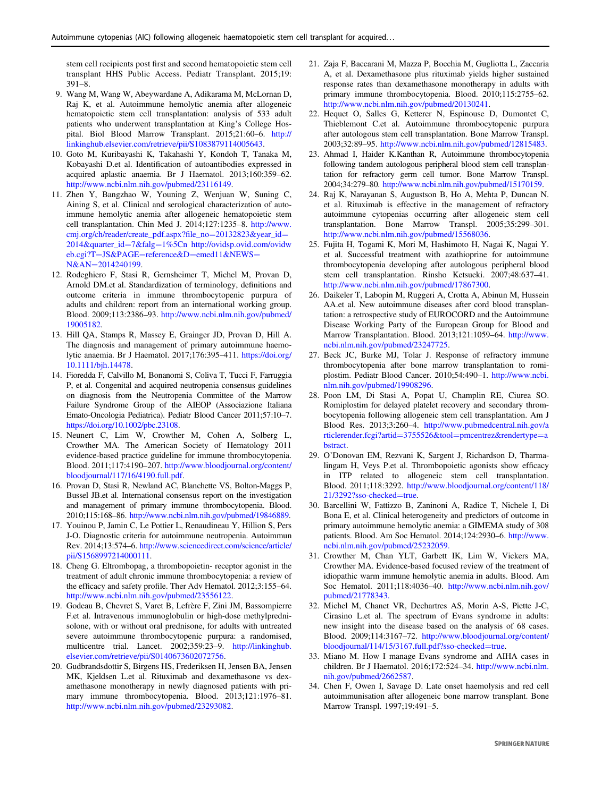<span id="page-8-0"></span>stem cell recipients post first and second hematopoietic stem cell transplant HHS Public Access. Pediatr Transplant. 2015;19: 391–8.

- 9. Wang M, Wang W, Abeywardane A, Adikarama M, McLornan D, Raj K, et al. Autoimmune hemolytic anemia after allogeneic hematopoietic stem cell transplantation: analysis of 533 adult patients who underwent transplantation at King's College Hospital. Biol Blood Marrow Transplant. 2015;21:60–6. [http://](http://linkinghub.elsevier.com/retrieve/pii/S1083879114005643) [linkinghub.elsevier.com/retrieve/pii/S1083879114005643.](http://linkinghub.elsevier.com/retrieve/pii/S1083879114005643)
- 10. Goto M, Kuribayashi K, Takahashi Y, Kondoh T, Tanaka M, Kobayashi D.et al. Identification of autoantibodies expressed in acquired aplastic anaemia. Br J Haematol. 2013;160:359–62. <http://www.ncbi.nlm.nih.gov/pubmed/23116149>.
- 11. Zhen Y, Bangzhao W, Youning Z, Wenjuan W, Suning C, Aining S, et al. Clinical and serological characterization of autoimmune hemolytic anemia after allogeneic hematopoietic stem cell transplantation. Chin Med J. 2014;127:1235–8. [http://www.](http://www.cmj.org/ch/reader/create_pdf.aspx?file_no=20132823&year_id=2014&quarter_id=7&falg=1%5Cn) [cmj.org/ch/reader/create\\_pdf.aspx?](http://www.cmj.org/ch/reader/create_pdf.aspx?file_no=20132823&year_id=2014&quarter_id=7&falg=1%5Cn)file\_no=20132823&year\_id= [2014&quarter\\_id](http://www.cmj.org/ch/reader/create_pdf.aspx?file_no=20132823&year_id=2014&quarter_id=7&falg=1%5Cn)=7&falg=1%5Cn [http://ovidsp.ovid.com/ovidw](http://ovidsp.ovid.com/ovidweb.cgi?T=JS&PAGE=reference&D=emed11&NEWS=N&AN=2014240199) eb.cgi?T=JS&PAGE=reference&D=[emed11&NEWS](http://ovidsp.ovid.com/ovidweb.cgi?T=JS&PAGE=reference&D=emed11&NEWS=N&AN=2014240199)= N&AN=[2014240199.](http://ovidsp.ovid.com/ovidweb.cgi?T=JS&PAGE=reference&D=emed11&NEWS=N&AN=2014240199)
- 12. Rodeghiero F, Stasi R, Gernsheimer T, Michel M, Provan D, Arnold DM.et al. Standardization of terminology, definitions and outcome criteria in immune thrombocytopenic purpura of adults and children: report from an international working group. Blood. 2009;113:2386–93. [http://www.ncbi.nlm.nih.gov/pubmed/](http://www.ncbi.nlm.nih.gov/pubmed/19005182) [19005182.](http://www.ncbi.nlm.nih.gov/pubmed/19005182)
- 13. Hill QA, Stamps R, Massey E, Grainger JD, Provan D, Hill A. The diagnosis and management of primary autoimmune haemolytic anaemia. Br J Haematol. 2017;176:395–411. [https://doi.org/](https://doi.org/10.1111/bjh.14478) [10.1111/bjh.14478.](https://doi.org/10.1111/bjh.14478)
- 14. Fioredda F, Calvillo M, Bonanomi S, Coliva T, Tucci F, Farruggia P, et al. Congenital and acquired neutropenia consensus guidelines on diagnosis from the Neutropenia Committee of the Marrow Failure Syndrome Group of the AIEOP (Associazione Italiana Emato-Oncologia Pediatrica). Pediatr Blood Cancer 2011;57:10–7. [https://doi.org/10.1002/pbc.23108.](https://doi.org/10.1002/pbc.23108)
- 15. Neunert C, Lim W, Crowther M, Cohen A, Solberg L, Crowther MA. The American Society of Hematology 2011 evidence-based practice guideline for immune thrombocytopenia. Blood. 2011;117:4190–207. [http://www.bloodjournal.org/content/](http://www.bloodjournal.org/content/bloodjournal/117/16/4190.full.pdf) [bloodjournal/117/16/4190.full.pdf.](http://www.bloodjournal.org/content/bloodjournal/117/16/4190.full.pdf)
- 16. Provan D, Stasi R, Newland AC, Blanchette VS, Bolton-Maggs P, Bussel JB.et al. International consensus report on the investigation and management of primary immune thrombocytopenia. Blood. 2010;115:168–86. <http://www.ncbi.nlm.nih.gov/pubmed/19846889>.
- 17. Youinou P, Jamin C, Le Pottier L, Renaudineau Y, Hillion S, Pers J-O. Diagnostic criteria for autoimmune neutropenia. Autoimmun Rev. 2014;13:574–6. [http://www.sciencedirect.com/science/article/](http://www.sciencedirect.com/science/article/pii/S1568997214000111) [pii/S1568997214000111.](http://www.sciencedirect.com/science/article/pii/S1568997214000111)
- 18. Cheng G. Eltrombopag, a thrombopoietin- receptor agonist in the treatment of adult chronic immune thrombocytopenia: a review of the efficacy and safety profile. Ther Adv Hematol. 2012;3:155–64. <http://www.ncbi.nlm.nih.gov/pubmed/23556122>.
- 19. Godeau B, Chevret S, Varet B, Lefrère F, Zini JM, Bassompierre F.et al. Intravenous immunoglobulin or high-dose methylprednisolone, with or without oral prednisone, for adults with untreated severe autoimmune thrombocytopenic purpura: a randomised, multicentre trial. Lancet. 2002;359:23–9. [http://linkinghub.](http://linkinghub.elsevier.com/retrieve/pii/S0140673602072756) [elsevier.com/retrieve/pii/S0140673602072756.](http://linkinghub.elsevier.com/retrieve/pii/S0140673602072756)
- 20. Gudbrandsdottir S, Birgens HS, Frederiksen H, Jensen BA, Jensen MK, Kjeldsen L.et al. Rituximab and dexamethasone vs dexamethasone monotherapy in newly diagnosed patients with primary immune thrombocytopenia. Blood. 2013;121:1976–81. <http://www.ncbi.nlm.nih.gov/pubmed/23293082>.
- 21. Zaja F, Baccarani M, Mazza P, Bocchia M, Gugliotta L, Zaccaria A, et al. Dexamethasone plus rituximab yields higher sustained response rates than dexamethasone monotherapy in adults with primary immune thrombocytopenia. Blood. 2010;115:2755–62. <http://www.ncbi.nlm.nih.gov/pubmed/20130241>.
- 22. Hequet O, Salles G, Ketterer N, Espinouse D, Dumontet C, Thieblemont C.et al. Autoimmune thrombocytopenic purpura after autologous stem cell transplantation. Bone Marrow Transpl. 2003;32:89–95. <http://www.ncbi.nlm.nih.gov/pubmed/12815483>.
- 23. Ahmad I, Haider K.Kanthan R, Autoimmune thrombocytopenia following tandem autologous peripheral blood stem cell transplantation for refractory germ cell tumor. Bone Marrow Transpl. 2004;34:279–80. <http://www.ncbi.nlm.nih.gov/pubmed/15170159>.
- 24. Raj K, Narayanan S, Augustson B, Ho A, Mehta P, Duncan N. et al. Rituximab is effective in the management of refractory autoimmune cytopenias occurring after allogeneic stem cell transplantation. Bone Marrow Transpl. 2005;35:299–301. <http://www.ncbi.nlm.nih.gov/pubmed/15568036>.
- 25. Fujita H, Togami K, Mori M, Hashimoto H, Nagai K, Nagai Y. et al. Successful treatment with azathioprine for autoimmune thrombocytopenia developing after autologous peripheral blood stem cell transplantation. Rinsho Ketsueki. 2007;48:637–41. <http://www.ncbi.nlm.nih.gov/pubmed/17867300>.
- 26. Daikeler T, Labopin M, Ruggeri A, Crotta A, Abinun M, Hussein AA.et al. New autoimmune diseases after cord blood transplantation: a retrospective study of EUROCORD and the Autoimmune Disease Working Party of the European Group for Blood and Marrow Transplantation. Blood. 2013;121:1059–64. [http://www.](http://www.ncbi.nlm.nih.gov/pubmed/23247725) [ncbi.nlm.nih.gov/pubmed/23247725.](http://www.ncbi.nlm.nih.gov/pubmed/23247725)
- 27. Beck JC, Burke MJ, Tolar J. Response of refractory immune thrombocytopenia after bone marrow transplantation to romiplostim. Pediatr Blood Cancer. 2010;54:490–1. [http://www.ncbi.](http://www.ncbi.nlm.nih.gov/pubmed/19908296) [nlm.nih.gov/pubmed/19908296](http://www.ncbi.nlm.nih.gov/pubmed/19908296).
- 28. Poon LM, Di Stasi A, Popat U, Champlin RE, Ciurea SO. Romiplostim for delayed platelet recovery and secondary thrombocytopenia following allogeneic stem cell transplantation. Am J Blood Res. 2013;3:260–4. [http://www.pubmedcentral.nih.gov/a](http://www.pubmedcentral.nih.gov/articlerender.fcgi?artid=3755526&tool=pmcentrez&rendertype=abstract) rticlerender.fcgi?artid=3755526&tool=[pmcentrez&rendertype](http://www.pubmedcentral.nih.gov/articlerender.fcgi?artid=3755526&tool=pmcentrez&rendertype=abstract)=a [bstract](http://www.pubmedcentral.nih.gov/articlerender.fcgi?artid=3755526&tool=pmcentrez&rendertype=abstract).
- 29. O'Donovan EM, Rezvani K, Sargent J, Richardson D, Tharmalingam H, Veys P.et al. Thrombopoietic agonists show efficacy in ITP related to allogeneic stem cell transplantation. Blood. 2011;118:3292. [http://www.bloodjournal.org/content/118/](http://www.bloodjournal.org/content/118/21/3292?sso-checked=true) [21/3292?sso-checked](http://www.bloodjournal.org/content/118/21/3292?sso-checked=true)=true.
- 30. Barcellini W, Fattizzo B, Zaninoni A, Radice T, Nichele I, Di Bona E, et al. Clinical heterogeneity and predictors of outcome in primary autoimmune hemolytic anemia: a GIMEMA study of 308 patients. Blood. Am Soc Hematol. 2014;124:2930–6. [http://www.](http://www.ncbi.nlm.nih.gov/pubmed/25232059) [ncbi.nlm.nih.gov/pubmed/25232059.](http://www.ncbi.nlm.nih.gov/pubmed/25232059)
- 31. Crowther M, Chan YLT, Garbett IK, Lim W, Vickers MA, Crowther MA. Evidence-based focused review of the treatment of idiopathic warm immune hemolytic anemia in adults. Blood. Am Soc Hematol. 2011;118:4036–40. [http://www.ncbi.nlm.nih.gov/](http://www.ncbi.nlm.nih.gov/pubmed/21778343) [pubmed/21778343.](http://www.ncbi.nlm.nih.gov/pubmed/21778343)
- 32. Michel M, Chanet VR, Dechartres AS, Morin A-S, Piette J-C, Cirasino L.et al. The spectrum of Evans syndrome in adults: new insight into the disease based on the analysis of 68 cases. Blood. 2009;114:3167–72. [http://www.bloodjournal.org/content/](http://www.bloodjournal.org/content/bloodjournal/114/15/3167.full.pdf?sso-checked=true) [bloodjournal/114/15/3167.full.pdf?sso-checked](http://www.bloodjournal.org/content/bloodjournal/114/15/3167.full.pdf?sso-checked=true)=true.
- 33. Miano M. How I manage Evans syndrome and AIHA cases in children. Br J Haematol. 2016;172:524–34. [http://www.ncbi.nlm.](http://www.ncbi.nlm.nih.gov/pubmed/2662587) [nih.gov/pubmed/2662587.](http://www.ncbi.nlm.nih.gov/pubmed/2662587)
- 34. Chen F, Owen I, Savage D. Late onset haemolysis and red cell autoimmunisation after allogeneic bone marrow transplant. Bone Marrow Transpl. 1997;19:491–5.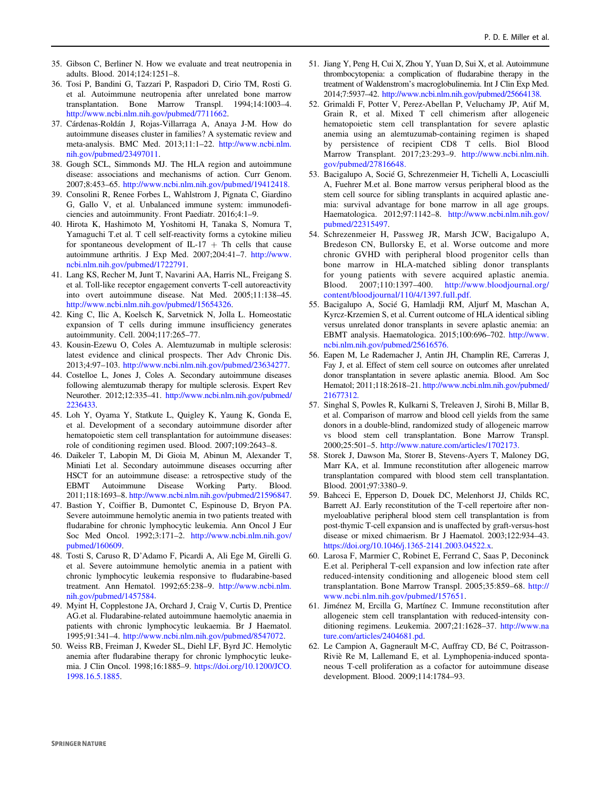- <span id="page-9-0"></span>35. Gibson C, Berliner N. How we evaluate and treat neutropenia in adults. Blood. 2014;124:1251–8.
- 36. Tosi P, Bandini G, Tazzari P, Raspadori D, Cirio TM, Rosti G. et al. Autoimmune neutropenia after unrelated bone marrow transplantation. Bone Marrow Transpl. 1994;14:1003–4. [http://www.ncbi.nlm.nih.gov/pubmed/7711662.](http://www.ncbi.nlm.nih.gov/pubmed/7711662)
- 37. Cárdenas-Roldán J, Rojas-Villarraga A, Anaya J-M. How do autoimmune diseases cluster in families? A systematic review and meta-analysis. BMC Med. 2013;11:1–22. [http://www.ncbi.nlm.](http://www.ncbi.nlm.nih.gov/pubmed/23497011) [nih.gov/pubmed/23497011](http://www.ncbi.nlm.nih.gov/pubmed/23497011).
- 38. Gough SCL, Simmonds MJ. The HLA region and autoimmune disease: associations and mechanisms of action. Curr Genom. 2007;8:453–65. [http://www.ncbi.nlm.nih.gov/pubmed/19412418.](http://www.ncbi.nlm.nih.gov/pubmed/19412418)
- 39. Consolini R, Renee Forbes L, Wahlstrom J, Pignata C, Giardino G, Gallo V, et al. Unbalanced immune system: immunodeficiencies and autoimmunity. Front Paediatr. 2016;4:1–9.
- 40. Hirota K, Hashimoto M, Yoshitomi H, Tanaka S, Nomura T, Yamaguchi T.et al. T cell self-reactivity forms a cytokine milieu for spontaneous development of  $IL-17 + Th$  cells that cause autoimmune arthritis. J Exp Med. 2007;204:41–7. [http://www.](http://www.ncbi.nlm.nih.gov/pubmed/1722791) [ncbi.nlm.nih.gov/pubmed/1722791.](http://www.ncbi.nlm.nih.gov/pubmed/1722791)
- 41. Lang KS, Recher M, Junt T, Navarini AA, Harris NL, Freigang S. et al. Toll-like receptor engagement converts T-cell autoreactivity into overt autoimmune disease. Nat Med. 2005;11:138–45. <http://www.ncbi.nlm.nih.gov/pubmed/15654326>.
- 42. King C, Ilic A, Koelsch K, Sarvetnick N, Jolla L. Homeostatic expansion of T cells during immune insufficiency generates autoimmunity. Cell. 2004;117:265–77.
- 43. Kousin-Ezewu O, Coles A. Alemtuzumab in multiple sclerosis: latest evidence and clinical prospects. Ther Adv Chronic Dis. 2013;4:97–103. <http://www.ncbi.nlm.nih.gov/pubmed/23634277>.
- 44. Costelloe L, Jones J, Coles A. Secondary autoimmune diseases following alemtuzumab therapy for multiple sclerosis. Expert Rev Neurother. 2012;12:335–41. [http://www.ncbi.nlm.nih.gov/pubmed/](http://www.ncbi.nlm.nih.gov/pubmed/2236433) [2236433.](http://www.ncbi.nlm.nih.gov/pubmed/2236433)
- 45. Loh Y, Oyama Y, Statkute L, Quigley K, Yaung K, Gonda E, et al. Development of a secondary autoimmune disorder after hematopoietic stem cell transplantation for autoimmune diseases: role of conditioning regimen used. Blood. 2007;109:2643–8.
- 46. Daikeler T, Labopin M, Di Gioia M, Abinun M, Alexander T, Miniati I.et al. Secondary autoimmune diseases occurring after HSCT for an autoimmune disease: a retrospective study of the EBMT Autoimmune Disease Working Party. Blood. 2011;118:1693–8. <http://www.ncbi.nlm.nih.gov/pubmed/21596847>.
- 47. Bastion Y, Coiffier B, Dumontet C, Espinouse D, Bryon PA. Severe autoimmune hemolytic anemia in two patients treated with fludarabine for chronic lymphocytic leukemia. Ann Oncol J Eur Soc Med Oncol. 1992;3:171–2. [http://www.ncbi.nlm.nih.gov/](http://www.ncbi.nlm.nih.gov/pubmed/160609) [pubmed/160609.](http://www.ncbi.nlm.nih.gov/pubmed/160609)
- 48. Tosti S, Caruso R, D'Adamo F, Picardi A, Ali Ege M, Girelli G. et al. Severe autoimmune hemolytic anemia in a patient with chronic lymphocytic leukemia responsive to fludarabine-based treatment. Ann Hematol. 1992;65:238–9. [http://www.ncbi.nlm.](http://www.ncbi.nlm.nih.gov/pubmed/1457584) [nih.gov/pubmed/1457584.](http://www.ncbi.nlm.nih.gov/pubmed/1457584)
- 49. Myint H, Copplestone JA, Orchard J, Craig V, Curtis D, Prentice AG.et al. Fludarabine-related autoimmune haemolytic anaemia in patients with chronic lymphocytic leukaemia. Br J Haematol. 1995;91:341–4. <http://www.ncbi.nlm.nih.gov/pubmed/8547072>.
- 50. Weiss RB, Freiman J, Kweder SL, Diehl LF, Byrd JC. Hemolytic anemia after fludarabine therapy for chronic lymphocytic leukemia. J Clin Oncol. 1998;16:1885–9. [https://doi.org/10.1200/JCO.](https://doi.org/10.1200/JCO.1998.16.5.1885) [1998.16.5.1885.](https://doi.org/10.1200/JCO.1998.16.5.1885)
- 51. Jiang Y, Peng H, Cui X, Zhou Y, Yuan D, Sui X, et al. Autoimmune thrombocytopenia: a complication of fludarabine therapy in the treatment of Waldenstrom's macroglobulinemia. Int J Clin Exp Med. 2014;7:5937–42. [http://www.ncbi.nlm.nih.gov/pubmed/25664138.](http://www.ncbi.nlm.nih.gov/pubmed/25664138)
- 52. Grimaldi F, Potter V, Perez-Abellan P, Veluchamy JP, Atif M, Grain R, et al. Mixed T cell chimerism after allogeneic hematopoietic stem cell transplantation for severe aplastic anemia using an alemtuzumab-containing regimen is shaped by persistence of recipient CD8 T cells. Biol Blood Marrow Transplant. 2017;23:293–9. [http://www.ncbi.nlm.nih.](http://www.ncbi.nlm.nih.gov/pubmed/27816648) [gov/pubmed/27816648.](http://www.ncbi.nlm.nih.gov/pubmed/27816648)
- 53. Bacigalupo A, Socié G, Schrezenmeier H, Tichelli A, Locasciulli A, Fuehrer M.et al. Bone marrow versus peripheral blood as the stem cell source for sibling transplants in acquired aplastic anemia: survival advantage for bone marrow in all age groups. Haematologica. 2012;97:1142–8. [http://www.ncbi.nlm.nih.gov/](http://www.ncbi.nlm.nih.gov/pubmed/22315497) [pubmed/22315497](http://www.ncbi.nlm.nih.gov/pubmed/22315497).
- 54. Schrezenmeier H, Passweg JR, Marsh JCW, Bacigalupo A, Bredeson CN, Bullorsky E, et al. Worse outcome and more chronic GVHD with peripheral blood progenitor cells than bone marrow in HLA-matched sibling donor transplants for young patients with severe acquired aplastic anemia. Blood. 2007;110:1397–400. [http://www.bloodjournal.org/](http://www.bloodjournal.org/content/bloodjournal/110/4/1397.full.pdf) [content/bloodjournal/110/4/1397.full.pdf.](http://www.bloodjournal.org/content/bloodjournal/110/4/1397.full.pdf)
- 55. Bacigalupo A, Socié G, Hamladji RM, Aljurf M, Maschan A, Kyrcz-Krzemien S, et al. Current outcome of HLA identical sibling versus unrelated donor transplants in severe aplastic anemia: an EBMT analysis. Haematologica. 2015;100:696–702. [http://www.](http://www.ncbi.nlm.nih.gov/pubmed/25616576) [ncbi.nlm.nih.gov/pubmed/25616576.](http://www.ncbi.nlm.nih.gov/pubmed/25616576)
- 56. Eapen M, Le Rademacher J, Antin JH, Champlin RE, Carreras J, Fay J, et al. Effect of stem cell source on outcomes after unrelated donor transplantation in severe aplastic anemia. Blood. Am Soc Hematol; 2011;118:2618–21. [http://www.ncbi.nlm.nih.gov/pubmed/](http://www.ncbi.nlm.nih.gov/pubmed/21677312) [21677312.](http://www.ncbi.nlm.nih.gov/pubmed/21677312)
- 57. Singhal S, Powles R, Kulkarni S, Treleaven J, Sirohi B, Millar B, et al. Comparison of marrow and blood cell yields from the same donors in a double-blind, randomized study of allogeneic marrow vs blood stem cell transplantation. Bone Marrow Transpl. 2000;25:501–5. [http://www.nature.com/articles/1702173.](http://www.nature.com/articles/1702173)
- 58. Storek J, Dawson Ma, Storer B, Stevens-Ayers T, Maloney DG, Marr KA, et al. Immune reconstitution after allogeneic marrow transplantation compared with blood stem cell transplantation. Blood. 2001;97:3380–9.
- 59. Bahceci E, Epperson D, Douek DC, Melenhorst JJ, Childs RC, Barrett AJ. Early reconstitution of the T-cell repertoire after nonmyeloablative peripheral blood stem cell transplantation is from post-thymic T-cell expansion and is unaffected by graft-versus-host disease or mixed chimaerism. Br J Haematol. 2003;122:934–43. [https://doi.org/10.1046/j.1365-2141.2003.04522.x.](https://doi.org/10.1046/j.1365-2141.2003.04522.x)
- 60. Larosa F, Marmier C, Robinet E, Ferrand C, Saas P, Deconinck E.et al. Peripheral T-cell expansion and low infection rate after reduced-intensity conditioning and allogeneic blood stem cell transplantation. Bone Marrow Transpl. 2005;35:859–68. [http://](http://www.ncbi.nlm.nih.gov/pubmed/157651) [www.ncbi.nlm.nih.gov/pubmed/157651](http://www.ncbi.nlm.nih.gov/pubmed/157651).
- 61. Jiménez M, Ercilla G, Martínez C. Immune reconstitution after allogeneic stem cell transplantation with reduced-intensity conditioning regimens. Leukemia. 2007;21:1628–37. [http://www.na](http://www.nature.com/articles/2404681.pd) [ture.com/articles/2404681.pd](http://www.nature.com/articles/2404681.pd).
- 62. Le Campion A, Gagnerault M-C, Auffray CD, Bé C, Poitrasson-Riviè Re M, Lallemand E, et al. Lymphopenia-induced spontaneous T-cell proliferation as a cofactor for autoimmune disease development. Blood. 2009;114:1784–93.